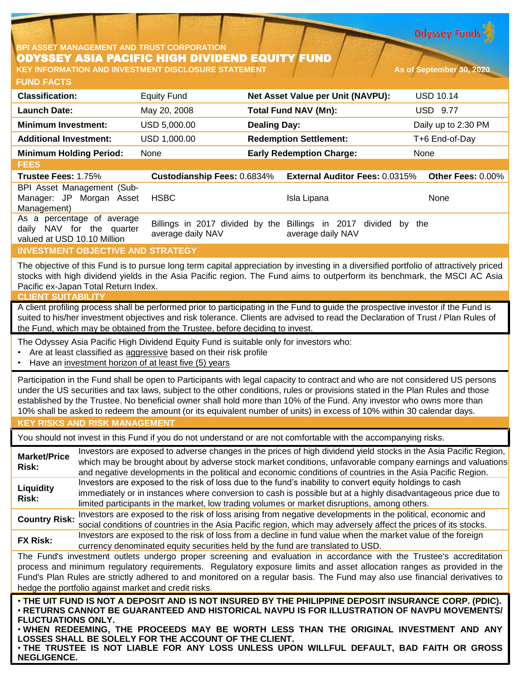

## **BPI ASSET MANAGEMENT AND TRUST CORPORATION** ODYSSEY ASIA PACIFIC HIGH DIVIDEND EQUITY FUND **KEY INFORMATION AND INVESTMENT DISCLOSURE STATEMENT As of September 30, 2020**

| <b>FUND FACTS</b>                                                        |                                    |                     |                                       |                     |
|--------------------------------------------------------------------------|------------------------------------|---------------------|---------------------------------------|---------------------|
| <b>Classification:</b>                                                   | <b>Equity Fund</b>                 |                     | Net Asset Value per Unit (NAVPU):     | <b>USD 10.14</b>    |
| <b>Launch Date:</b>                                                      | May 20, 2008                       |                     | <b>Total Fund NAV (Mn):</b>           | <b>USD 9.77</b>     |
| <b>Minimum Investment:</b>                                               | USD 5,000.00                       | <b>Dealing Day:</b> |                                       | Daily up to 2:30 PM |
| <b>Additional Investment:</b>                                            | USD 1,000.00                       |                     | <b>Redemption Settlement:</b>         | T+6 End-of-Day      |
| <b>Minimum Holding Period:</b>                                           | None                               |                     | <b>Early Redemption Charge:</b>       | None                |
| <b>FEES</b>                                                              |                                    |                     |                                       |                     |
| <b>Trustee Fees: 1.75%</b>                                               | <b>Custodianship Fees: 0.6834%</b> |                     | <b>External Auditor Fees: 0.0315%</b> | Other Fees: 0.00%   |
| BPI Asset Management (Sub-<br>Manager: JP Morgan<br>Asset<br>Management) | <b>HSBC</b>                        |                     | Isla Lipana                           | None                |
| As a percentage of average                                               | .                                  |                     |                                       |                     |

daily NAV for the quarter valued at USD 10.10 Million Billings in 2017 divided by the Billings in 2017 divided by the average daily NAV average daily NAV

## **INVESTMENT OBJECTIVE AND STRATEGY**

The objective of this Fund is to pursue long term capital appreciation by investing in a diversified portfolio of attractively priced stocks with high dividend yields in the Asia Pacific region. The Fund aims to outperform its benchmark, the MSCI AC Asia Pacific ex-Japan Total Return Index.

#### **CLIENT SUITABILITY**

A client profiling process shall be performed prior to participating in the Fund to guide the prospective investor if the Fund is suited to his/her investment objectives and risk tolerance. Clients are advised to read the Declaration of Trust / Plan Rules of the Fund, which may be obtained from the Trustee, before deciding to invest.

The Odyssey Asia Pacific High Dividend Equity Fund is suitable only for investors who:

- Are at least classified as aggressive based on their risk profile
- Have an investment horizon of at least five (5) years

Participation in the Fund shall be open to Participants with legal capacity to contract and who are not considered US persons under the US securities and tax laws, subject to the other conditions, rules or provisions stated in the Plan Rules and those established by the Trustee. No beneficial owner shall hold more than 10% of the Fund. Any investor who owns more than 10% shall be asked to redeem the amount (or its equivalent number of units) in excess of 10% within 30 calendar days.

## **KEY RISKS AND RISK MANAGEMENT**

You should not invest in this Fund if you do not understand or are not comfortable with the accompanying risks.

**Market/Price Risk:** Investors are exposed to adverse changes in the prices of high dividend yield stocks in the Asia Pacific Region, which may be brought about by adverse stock market conditions, unfavorable company earnings and valuations and negative developments in the political and economic conditions of countries in the Asia Pacific Region. **Liquidity Risk:** Investors are exposed to the risk of loss due to the fund's inability to convert equity holdings to cash immediately or in instances where conversion to cash is possible but at a highly disadvantageous price due to limited participants in the market, low trading volumes or market disruptions, among others. **Country Risk:** Investors are exposed to the risk of loss arising from negative developments in the political, economic and

social conditions of countries in the Asia Pacific region, which may adversely affect the prices of its stocks. **FX Risk:** Investors are exposed to the risk of loss from a decline in fund value when the market value of the foreign

currency denominated equity securities held by the fund are translated to USD.

The Fund's investment outlets undergo proper screening and evaluation in accordance with the Trustee's accreditation process and minimum regulatory requirements. Regulatory exposure limits and asset allocation ranges as provided in the Fund's Plan Rules are strictly adhered to and monitored on a regular basis. The Fund may also use financial derivatives to hedge the portfolio against market and credit risks.

• THE UIT FUND IS NOT A DEPOSIT AND IS NOT INSURED BY THE PHILIPPINE DEPOSIT INSURANCE CORP. (PDIC). • **RETURNS CANNOT BE GUARANTEED AND HISTORICAL NAVPU IS FOR ILLUSTRATION OF NAVPU MOVEMENTS/ FLUCTUATIONS ONLY.**

• **WHEN REDEEMING, THE PROCEEDS MAY BE WORTH LESS THAN THE ORIGINAL INVESTMENT AND ANY LOSSES SHALL BE SOLELY FOR THE ACCOUNT OF THE CLIENT.**

• **THE TRUSTEE IS NOT LIABLE FOR ANY LOSS UNLESS UPON WILLFUL DEFAULT, BAD FAITH OR GROSS NEGLIGENCE.**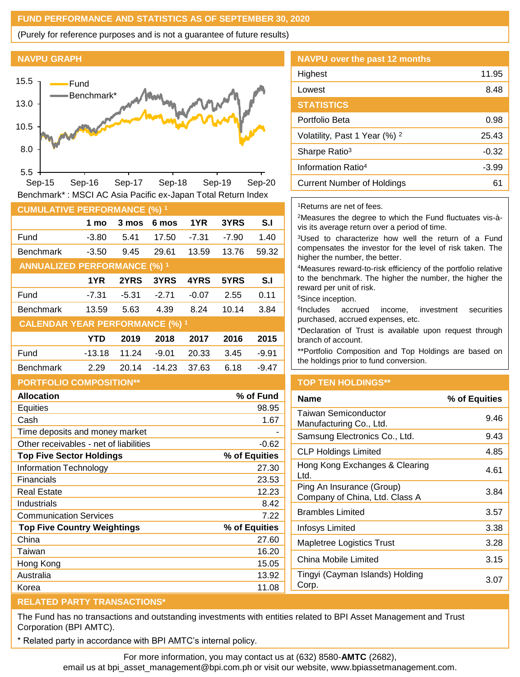## **FUND PERFORMANCE AND STATISTICS AS OF SEPTEMBER 30, 2020**

(Purely for reference purposes and is not a guarantee of future results)

#### **NAVPU GRAPH**



**CUMULATIVE PERFORMANCE (6)** Benchmark\* : MSCI AC Asia Pacific ex-Japan Total Return Index

| <b>COMOLATIVE LENT ORMANGE (70)</b>    |            |         |          |         |         |         |
|----------------------------------------|------------|---------|----------|---------|---------|---------|
|                                        | 1 mo       | 3 mos   | 6 mos    | 1YR     | 3YRS    | S.I     |
| Fund                                   | $-3.80$    | 5.41    | 17.50    | $-7.31$ | $-7.90$ | 1.40    |
| <b>Benchmark</b>                       | $-3.50$    | 9.45    | 29.61    | 13.59   | 13.76   | 59.32   |
| <b>ANNUALIZED PERFORMANCE (%) 1</b>    |            |         |          |         |         |         |
|                                        | 1YR        | 2YRS    | 3YRS     | 4YRS    | 5YRS    | S.I     |
| Fund                                   | $-7.31$    | $-5.31$ | $-2.71$  | $-0.07$ | 2.55    | 0.11    |
| <b>Benchmark</b>                       | 13.59      | 5.63    | 4.39     | 8.24    | 10.14   | 3.84    |
| <b>CALENDAR YEAR PERFORMANCE (%) 1</b> |            |         |          |         |         |         |
|                                        | <b>YTD</b> | 2019    | 2018     | 2017    | 2016    | 2015    |
| Fund                                   | $-13.18$   | 11.24   | $-9.01$  | 20.33   | 3.45    | $-9.91$ |
| <b>Benchmark</b>                       | 2.29       | 20.14   | $-14.23$ | 37.63   | 6.18    | $-9.47$ |
|                                        |            |         |          |         |         |         |

# **PORTFOLIO COMPOSITION\*\***

| <b>Allocation</b>                      | % of Fund     |
|----------------------------------------|---------------|
| Equities                               | 98.95         |
| Cash                                   | 1.67          |
| Time deposits and money market         |               |
| Other receivables - net of liabilities | $-0.62$       |
| <b>Top Five Sector Holdings</b>        | % of Equities |
| Information Technology                 | 27.30         |
| <b>Financials</b>                      | 23.53         |
| Real Estate                            | 12.23         |
| Industrials                            | 8.42          |
| <b>Communication Services</b>          | 7.22          |
| <b>Top Five Country Weightings</b>     | % of Equities |
| China                                  | 27.60         |
| Taiwan                                 | 16.20         |
| Hong Kong                              | 15.05         |
| Australia                              | 13.92         |
| Korea                                  | 11.08         |

## **NAVPU over the past 12 months**

| Highest                                  | 11.95   |
|------------------------------------------|---------|
| Lowest                                   | 8.48    |
| <b>STATISTICS</b>                        |         |
| Portfolio Beta                           | 0.98    |
| Volatility, Past 1 Year (%) <sup>2</sup> | 25.43   |
| Sharpe Ratio <sup>3</sup>                | $-0.32$ |
| Information Ratio <sup>4</sup>           | $-3.99$ |
| <b>Current Number of Holdings</b>        | 61      |
|                                          |         |

## <sup>1</sup>Returns are net of fees.

<sup>2</sup>Measures the degree to which the Fund fluctuates vis-àvis its average return over a period of time.

<sup>3</sup>Used to characterize how well the return of a Fund compensates the investor for the level of risk taken. The higher the number, the better.

<sup>4</sup>Measures reward-to-risk efficiency of the portfolio relative to the benchmark. The higher the number, the higher the reward per unit of risk.

<sup>5</sup>Since inception.

6 Includes accrued income, investment securities purchased, accrued expenses, etc.

\*Declaration of Trust is available upon request through branch of account.

\*\*Portfolio Composition and Top Holdings are based on the holdings prior to fund conversion.

## **TOP TEN HOLDINGS\*\***

| % of Equities |
|---------------|
| 9.46          |
| 9.43          |
| 4.85          |
| 4.61          |
| 3.84          |
| 3.57          |
| 3.38          |
| 3.28          |
| 3.15          |
| 3.07          |
|               |

## **RELATED PARTY TRANSACTIONS\***

The Fund has no transactions and outstanding investments with entities related to BPI Asset Management and Trust Corporation (BPI AMTC).

Related party in accordance with BPI AMTC's internal policy.

For more information, you may contact us at (632) 8580-**AMTC** (2682),

email us at bpi\_asset\_management@bpi.com.ph or visit our website, www.bpiassetmanagement.com.